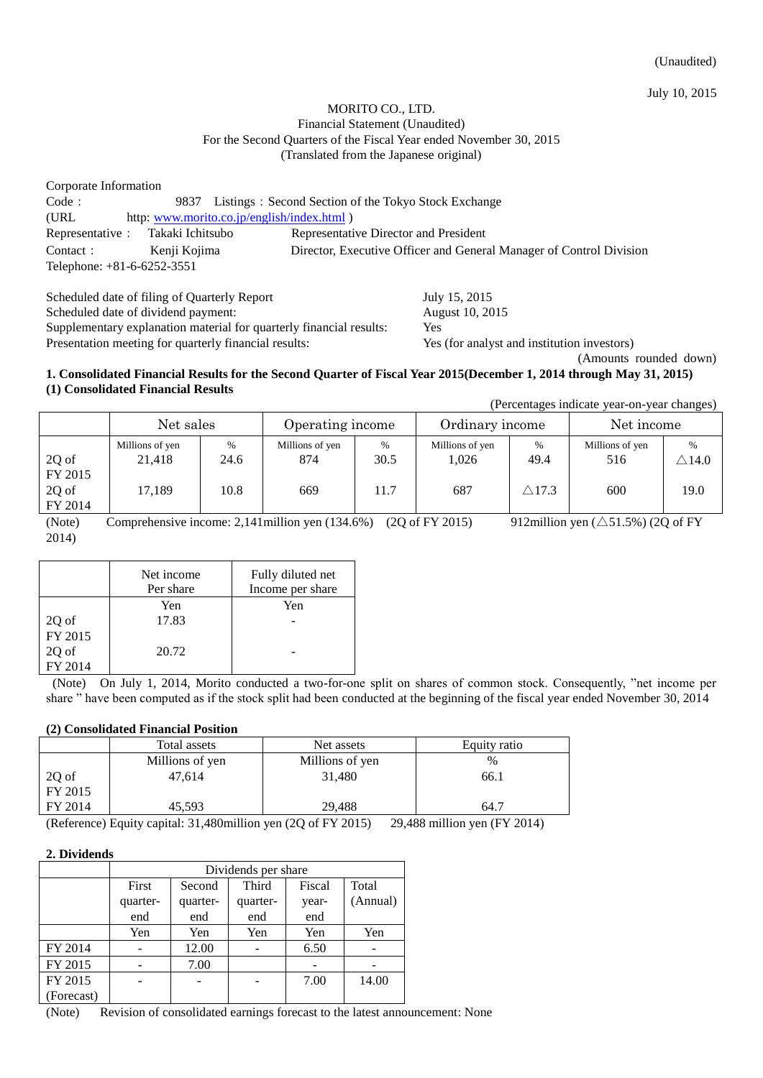(Unaudited)

July 10, 2015

### MORITO CO., LTD. Financial Statement (Unaudited) For the Second Quarters of the Fiscal Year ended November 30, 2015 (Translated from the Japanese original)

| Corporate Information      |                                            |                                                                     |  |  |  |  |
|----------------------------|--------------------------------------------|---------------------------------------------------------------------|--|--|--|--|
| Code:                      | 9837                                       | Listings: Second Section of the Tokyo Stock Exchange                |  |  |  |  |
| (URL)                      | http: www.morito.co.jp/english/index.html) |                                                                     |  |  |  |  |
| Representative:            | Takaki Ichitsubo                           | Representative Director and President                               |  |  |  |  |
| Contact:                   | Kenji Kojima                               | Director, Executive Officer and General Manager of Control Division |  |  |  |  |
| Telephone: +81-6-6252-3551 |                                            |                                                                     |  |  |  |  |

| Scheduled date of filing of Quarterly Report                        | July 15, 2015                               |
|---------------------------------------------------------------------|---------------------------------------------|
| Scheduled date of dividend payment:                                 | August 10, 2015                             |
| Supplementary explanation material for quarterly financial results: | Yes.                                        |
| Presentation meeting for quarterly financial results:               | Yes (for analyst and institution investors) |
|                                                                     | (Amounts rounded down)                      |

### **1. Consolidated Financial Results for the Second Quarter of Fiscal Year 2015(December 1, 2014 through May 31, 2015) (1) Consolidated Financial Results**

(Percentages indicate year-on-year changes)

|                                      | Net sales                                                            |                   | Operating income              |                   | Ordinary income                 |                                  | Net income                    |                               |
|--------------------------------------|----------------------------------------------------------------------|-------------------|-------------------------------|-------------------|---------------------------------|----------------------------------|-------------------------------|-------------------------------|
| 2Q of<br>FY 2015<br>2Q of<br>FY 2014 | Millions of yen<br>21,418<br>17,189                                  | %<br>24.6<br>10.8 | Millions of yen<br>874<br>669 | %<br>30.5<br>11.7 | Millions of yen<br>1.026<br>687 | $\%$<br>49.4<br>$\triangle$ 17.3 | Millions of yen<br>516<br>600 | $\bigtriangleup$ 14.0<br>19.0 |
| $\sqrt{2}$                           | 2.4.4.1.11<br>$0.10$ $11$<br>$(0.0$ $0.7570045)$<br>(1017)<br>$\sim$ |                   |                               |                   |                                 |                                  |                               |                               |

(Note) Comprehensive income: 2,141 million yen  $(134.6%)$  (2Q of FY 2015) 912 million yen  $(\triangle 51.5%)$  (2Q of FY 2014)

|         | Net income<br>Per share | Fully diluted net<br>Income per share |
|---------|-------------------------|---------------------------------------|
|         | Yen                     | Yen                                   |
| 2Q of   | 17.83                   |                                       |
| FY 2015 |                         |                                       |
| 2Q of   | 20.72                   |                                       |
| FY 2014 |                         |                                       |

(Note) On July 1, 2014, Morito conducted a two-for-one split on shares of common stock. Consequently, "net income per share " have been computed as if the stock split had been conducted at the beginning of the fiscal year ended November 30, 2014

### **(2) Consolidated Financial Position**

|         | Total assets    | Net assets             | Equity ratio |
|---------|-----------------|------------------------|--------------|
|         | Millions of yen | Millions of yen        | $\%$         |
| 2Q of   | 47.614          | 31,480                 | 66.1         |
| FY 2015 |                 |                        |              |
| FY 2014 | 45.593          | 29.488                 | 64.7         |
|         | .<br>.          | -- - - - -<br>-------- | .            |

(Reference) Equity capital: 31,480million yen (2Q of FY 2015) 29,488 million yen (FY 2014)

### **2. Dividends**

|            | Dividends per share |          |          |        |          |
|------------|---------------------|----------|----------|--------|----------|
|            | First               | Second   | Third    | Fiscal | Total    |
|            | quarter-            | quarter- | quarter- | year-  | (Annual) |
|            | end                 | end      | end      | end    |          |
|            | Yen                 | Yen      | Yen      | Yen    | Yen      |
| FY 2014    |                     | 12.00    |          | 6.50   |          |
| FY 2015    |                     | 7.00     |          |        |          |
| FY 2015    |                     |          |          | 7.00   | 14.00    |
| (Forecast) |                     |          |          |        |          |

(Note) Revision of consolidated earnings forecast to the latest announcement: None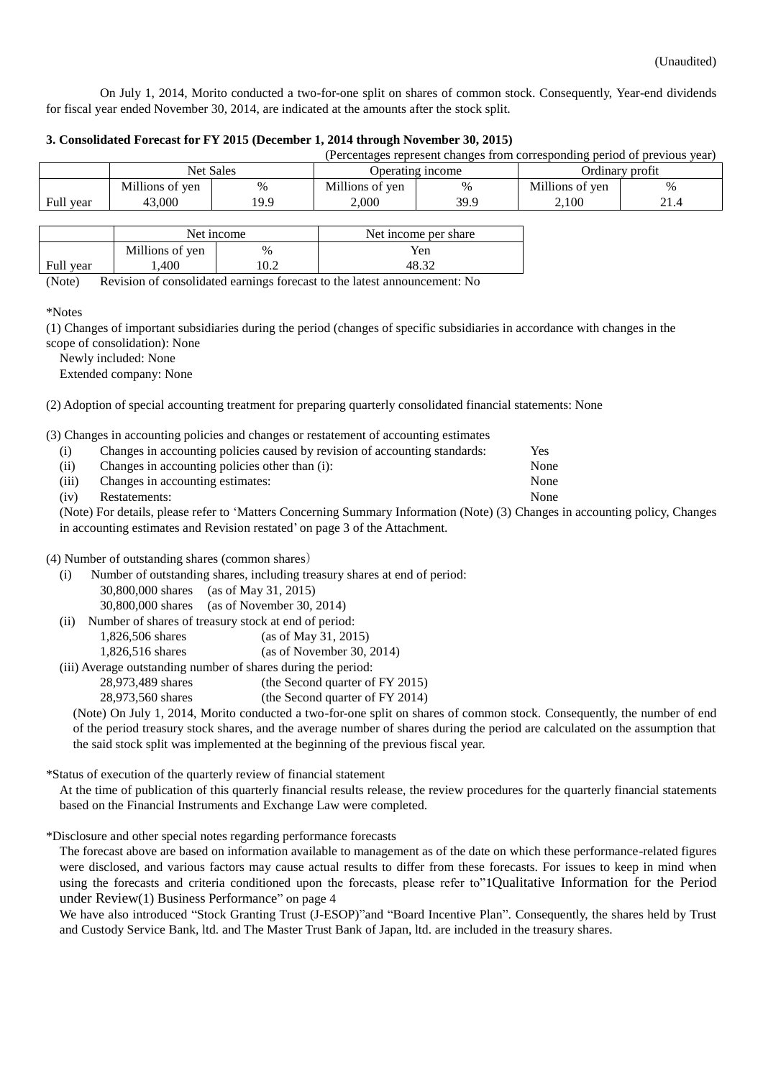On July 1, 2014, Morito conducted a two-for-one split on shares of common stock. Consequently, Year-end dividends for fiscal year ended November 30, 2014, are indicated at the amounts after the stock split.

### **3. Consolidated Forecast for FY 2015 (December 1, 2014 through November 30, 2015)**

| (Percentages represent changes from corresponding period of previous year) |                                      |      |                 |      |                 |      |
|----------------------------------------------------------------------------|--------------------------------------|------|-----------------|------|-----------------|------|
|                                                                            | <b>Net Sales</b><br>Operating income |      |                 |      | Ordinary profit |      |
|                                                                            | Millions of yen                      | %    | Millions of yen | $\%$ | Millions of yen | $\%$ |
| Full year                                                                  | 43,000                               | 19.9 | 2.000           | 39.9 | 2.100           |      |

|           | Net income      |               | Net income per share |
|-----------|-----------------|---------------|----------------------|
|           | Millions of yen | $\frac{0}{0}$ | Yen                  |
| Full year | .400            | 10.2          | 48.32                |

(Note) Revision of consolidated earnings forecast to the latest announcement: No

\*Notes

(1) Changes of important subsidiaries during the period (changes of specific subsidiaries in accordance with changes in the scope of consolidation): None

Newly included: None

Extended company: None

(2) Adoption of special accounting treatment for preparing quarterly consolidated financial statements: None

(3) Changes in accounting policies and changes or restatement of accounting estimates

| (i)   | Changes in accounting policies caused by revision of accounting standards: | Yes  |
|-------|----------------------------------------------------------------------------|------|
| (ii)  | Changes in accounting policies other than (i):                             | None |
| (iii) | Changes in accounting estimates:                                           | None |
| (iv)  | Restatements:                                                              | None |

(Note) For details, please refer to 'Matters Concerning Summary Information (Note) (3) Changes in accounting policy, Changes in accounting estimates and Revision restated' on page 3 of the Attachment.

#### (4) Number of outstanding shares (common shares)

- (i) Number of outstanding shares, including treasury shares at end of period:
	- 30,800,000 shares (as of May 31, 2015) 30,800,000 shares (as of November 30, 2014)
- (ii) Number of shares of treasury stock at end of period:
	- 1,826,506 shares (as of May 31, 2015)

1,826,516 shares (as of November 30, 2014)

(iii) Average outstanding number of shares during the period:

28,973,489 shares (the Second quarter of FY 2015)

28,973,560 shares (the Second quarter of FY 2014)

(Note) On July 1, 2014, Morito conducted a two-for-one split on shares of common stock. Consequently, the number of end of the period treasury stock shares, and the average number of shares during the period are calculated on the assumption that the said stock split was implemented at the beginning of the previous fiscal year.

\*Status of execution of the quarterly review of financial statement

At the time of publication of this quarterly financial results release, the review procedures for the quarterly financial statements based on the Financial Instruments and Exchange Law were completed.

#### \*Disclosure and other special notes regarding performance forecasts

The forecast above are based on information available to management as of the date on which these performance-related figures were disclosed, and various factors may cause actual results to differ from these forecasts. For issues to keep in mind when using the forecasts and criteria conditioned upon the forecasts, please refer to["1](#page-3-0)[Qualitative Information for the Period](#page-3-0)  [under Review](#page-3-0)[\(1\) Business Performance](#page-3-0)" on page 4

We have also introduced "Stock Granting Trust (J-ESOP)"and "Board Incentive Plan". Consequently, the shares held by Trust and Custody Service Bank, ltd. and The Master Trust Bank of Japan, ltd. are included in the treasury shares.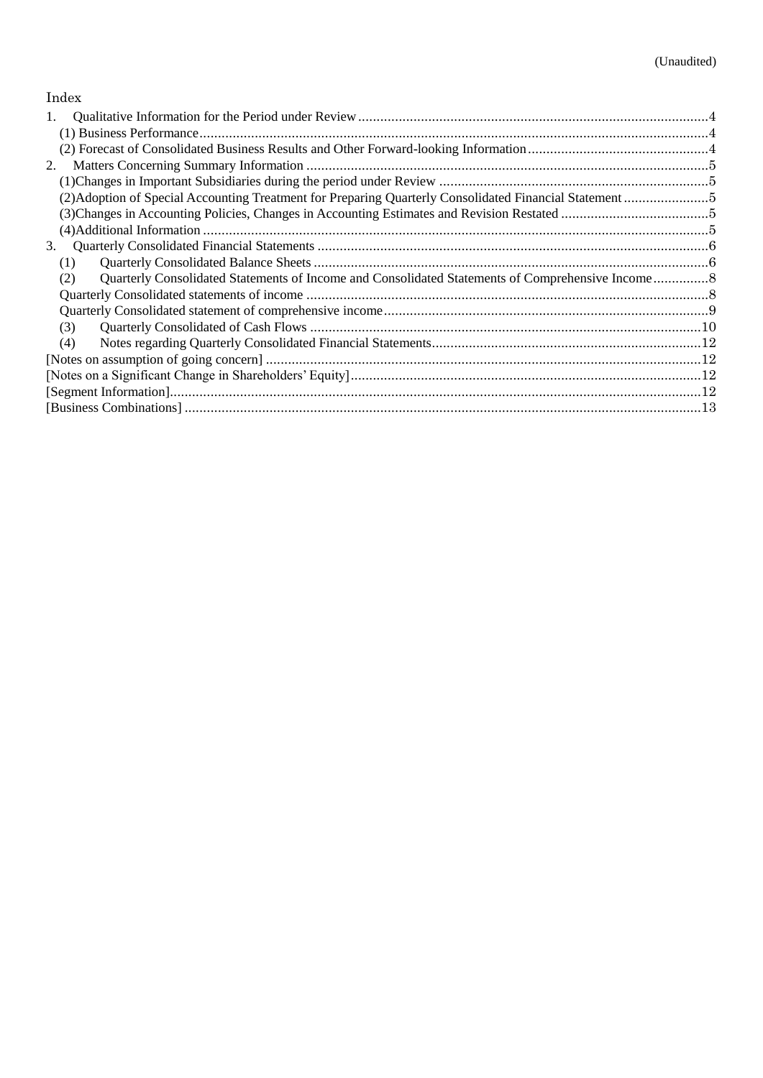# Index

| 1.                                                                                                      |  |
|---------------------------------------------------------------------------------------------------------|--|
|                                                                                                         |  |
|                                                                                                         |  |
| 2.                                                                                                      |  |
|                                                                                                         |  |
| (2) Adoption of Special Accounting Treatment for Preparing Quarterly Consolidated Financial Statement 5 |  |
|                                                                                                         |  |
|                                                                                                         |  |
| 3.                                                                                                      |  |
| (1)                                                                                                     |  |
| (2)                                                                                                     |  |
|                                                                                                         |  |
|                                                                                                         |  |
| (3)                                                                                                     |  |
| (4)                                                                                                     |  |
|                                                                                                         |  |
|                                                                                                         |  |
|                                                                                                         |  |
|                                                                                                         |  |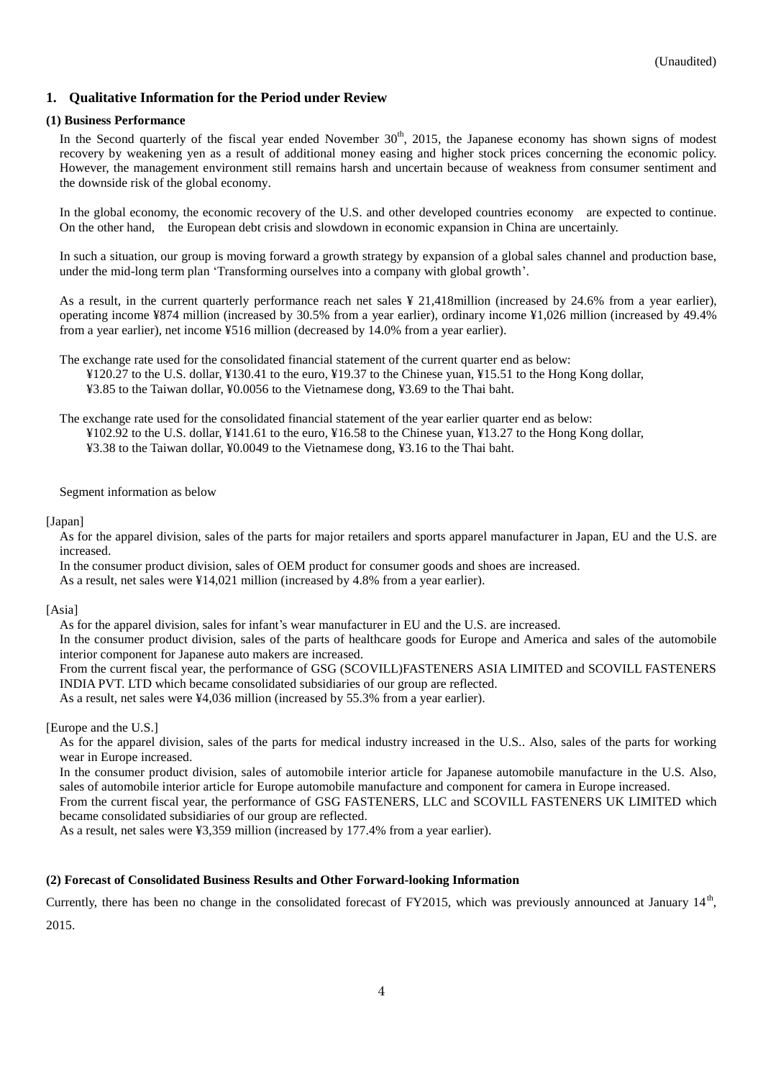### <span id="page-3-0"></span>**1. Qualitative Information for the Period under Review**

#### <span id="page-3-1"></span>**(1) Business Performance**

In the Second quarterly of the fiscal year ended November  $30<sup>th</sup>$ , 2015, the Japanese economy has shown signs of modest recovery by weakening yen as a result of additional money easing and higher stock prices concerning the economic policy. However, the management environment still remains harsh and uncertain because of weakness from consumer sentiment and the downside risk of the global economy.

In the global economy, the economic recovery of the U.S. and other developed countries economy are expected to continue. On the other hand, the European debt crisis and slowdown in economic expansion in China are uncertainly.

In such a situation, our group is moving forward a growth strategy by expansion of a global sales channel and production base, under the mid-long term plan 'Transforming ourselves into a company with global growth'.

As a result, in the current quarterly performance reach net sales ¥ 21,418million (increased by 24.6% from a year earlier), operating income ¥874 million (increased by 30.5% from a year earlier), ordinary income ¥1,026 million (increased by 49.4% from a year earlier), net income ¥516 million (decreased by 14.0% from a year earlier).

The exchange rate used for the consolidated financial statement of the year earlier quarter end as below: ¥102.92 to the U.S. dollar, ¥141.61 to the euro, ¥16.58 to the Chinese yuan, ¥13.27 to the Hong Kong dollar, ¥3.38 to the Taiwan dollar, ¥0.0049 to the Vietnamese dong, ¥3.16 to the Thai baht.

Segment information as below

#### [Japan]

As for the apparel division, sales of the parts for major retailers and sports apparel manufacturer in Japan, EU and the U.S. are increased.

In the consumer product division, sales of OEM product for consumer goods and shoes are increased.

As a result, net sales were ¥14,021 million (increased by 4.8% from a year earlier).

### [Asia]

As for the apparel division, sales for infant's wear manufacturer in EU and the U.S. are increased.

In the consumer product division, sales of the parts of healthcare goods for Europe and America and sales of the automobile interior component for Japanese auto makers are increased.

From the current fiscal year, the performance of GSG (SCOVILL)FASTENERS ASIA LIMITED and SCOVILL FASTENERS INDIA PVT. LTD which became consolidated subsidiaries of our group are reflected.

As a result, net sales were ¥4,036 million (increased by 55.3% from a year earlier).

[Europe and the U.S.]

As for the apparel division, sales of the parts for medical industry increased in the U.S.. Also, sales of the parts for working wear in Europe increased.

In the consumer product division, sales of automobile interior article for Japanese automobile manufacture in the U.S. Also, sales of automobile interior article for Europe automobile manufacture and component for camera in Europe increased.

From the current fiscal year, the performance of GSG FASTENERS, LLC and SCOVILL FASTENERS UK LIMITED which became consolidated subsidiaries of our group are reflected.

As a result, net sales were ¥3,359 million (increased by 177.4% from a year earlier).

### <span id="page-3-2"></span>**(2) Forecast of Consolidated Business Results and Other Forward-looking Information**

Currently, there has been no change in the consolidated forecast of FY2015, which was previously announced at January  $14<sup>th</sup>$ , 2015.

The exchange rate used for the consolidated financial statement of the current quarter end as below: ¥120.27 to the U.S. dollar, ¥130.41 to the euro, ¥19.37 to the Chinese yuan, ¥15.51 to the Hong Kong dollar, ¥3.85 to the Taiwan dollar, ¥0.0056 to the Vietnamese dong, ¥3.69 to the Thai baht.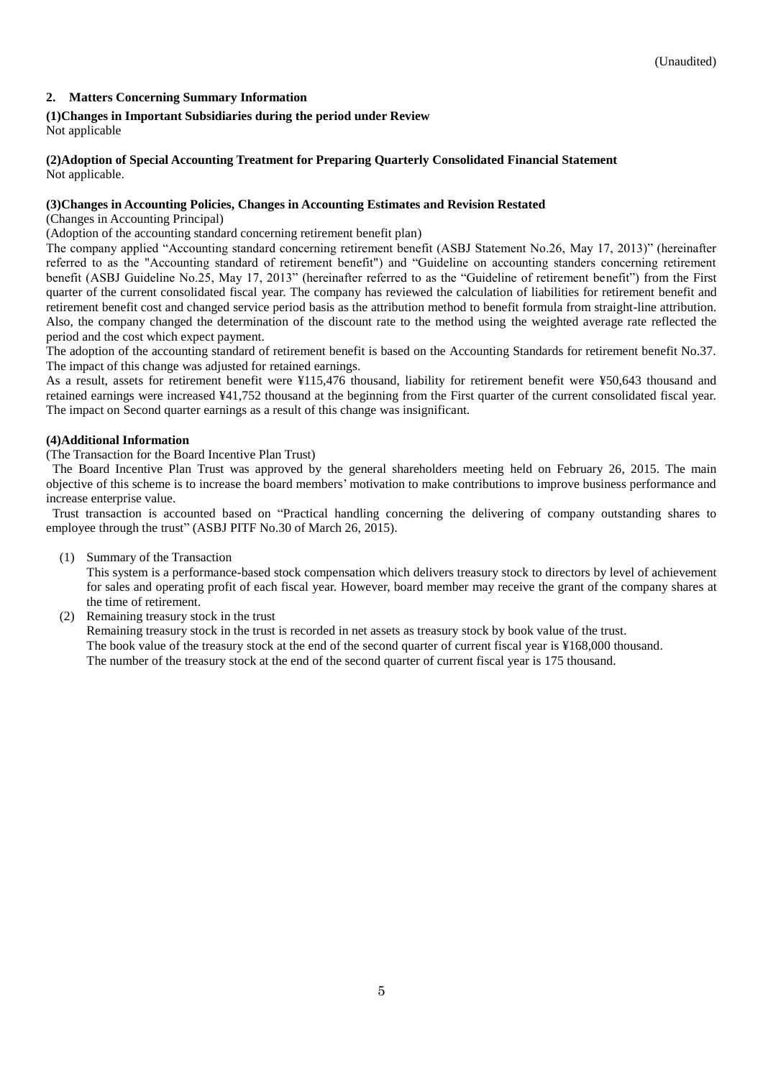### <span id="page-4-0"></span>**2. Matters Concerning Summary Information**

### <span id="page-4-1"></span>**(1)Changes in Important Subsidiaries during the period under Review**

Not applicable

#### <span id="page-4-2"></span>**(2)Adoption of Special Accounting Treatment for Preparing Quarterly Consolidated Financial Statement** Not applicable.

### <span id="page-4-3"></span>**(3)Changes in Accounting Policies, Changes in Accounting Estimates and Revision Restated**

(Changes in Accounting Principal)

(Adoption of the accounting standard concerning retirement benefit plan)

The company applied "Accounting standard concerning retirement benefit (ASBJ Statement No.26, May 17, 2013)" (hereinafter referred to as the "Accounting standard of retirement benefit") and "Guideline on accounting standers concerning retirement benefit (ASBJ Guideline No.25, May 17, 2013" (hereinafter referred to as the "Guideline of retirement benefit") from the First quarter of the current consolidated fiscal year. The company has reviewed the calculation of liabilities for retirement benefit and retirement benefit cost and changed service period basis as the attribution method to benefit formula from straight-line attribution. Also, the company changed the determination of the discount rate to the method using the weighted average rate reflected the period and the cost which expect payment.

The adoption of the accounting standard of retirement benefit is based on the Accounting Standards for retirement benefit No.37. The impact of this change was adjusted for retained earnings.

As a result, assets for retirement benefit were ¥115,476 thousand, liability for retirement benefit were ¥50,643 thousand and retained earnings were increased ¥41,752 thousand at the beginning from the First quarter of the current consolidated fiscal year. The impact on Second quarter earnings as a result of this change was insignificant.

### <span id="page-4-4"></span>**(4)Additional Information**

(The Transaction for the Board Incentive Plan Trust)

The Board Incentive Plan Trust was approved by the general shareholders meeting held on February 26, 2015. The main objective of this scheme is to increase the board members' motivation to make contributions to improve business performance and increase enterprise value.

Trust transaction is accounted based on "Practical handling concerning the delivering of company outstanding shares to employee through the trust" (ASBJ PITF No.30 of March 26, 2015).

(1) Summary of the Transaction

This system is a performance-based stock compensation which delivers treasury stock to directors by level of achievement for sales and operating profit of each fiscal year. However, board member may receive the grant of the company shares at the time of retirement.

(2) Remaining treasury stock in the trust

Remaining treasury stock in the trust is recorded in net assets as treasury stock by book value of the trust. The book value of the treasury stock at the end of the second quarter of current fiscal year is ¥168,000 thousand. The number of the treasury stock at the end of the second quarter of current fiscal year is 175 thousand.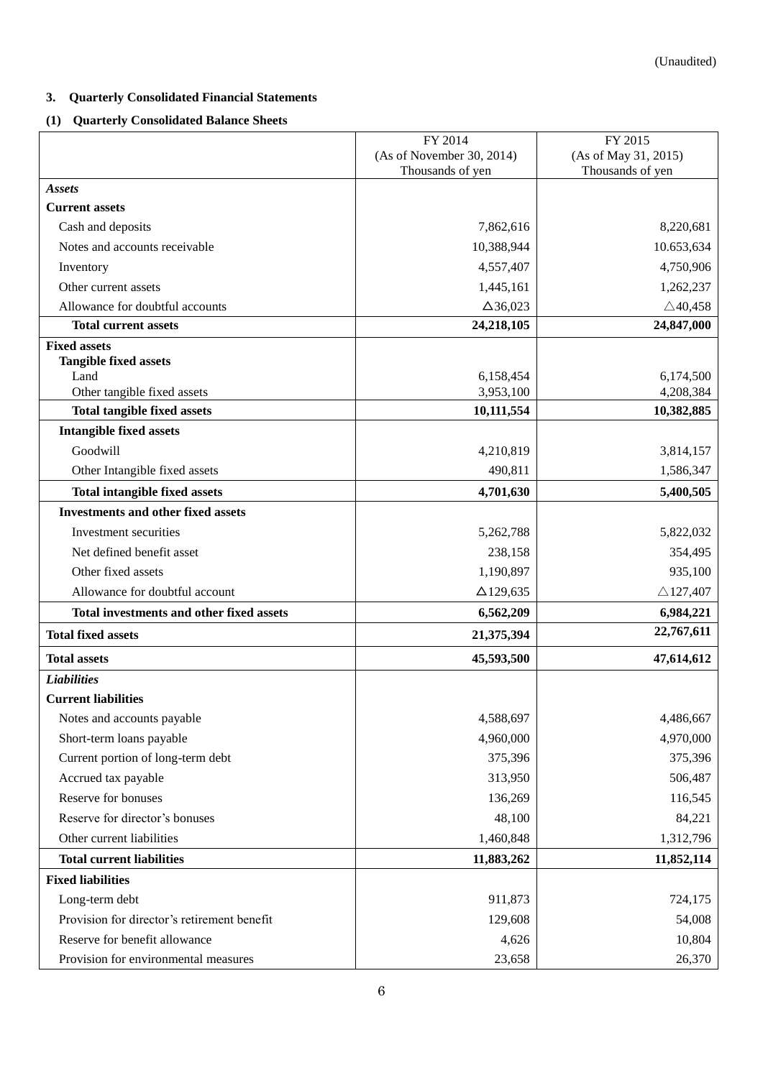### <span id="page-5-0"></span>**3. Quarterly Consolidated Financial Statements**

### <span id="page-5-1"></span>**(1) Quarterly Consolidated Balance Sheets**

|                                             | FY 2014                   | FY 2015              |
|---------------------------------------------|---------------------------|----------------------|
|                                             | (As of November 30, 2014) | (As of May 31, 2015) |
|                                             | Thousands of yen          | Thousands of yen     |
| <b>Assets</b>                               |                           |                      |
| <b>Current assets</b>                       |                           |                      |
| Cash and deposits                           | 7,862,616                 | 8,220,681            |
| Notes and accounts receivable               | 10,388,944                | 10.653,634           |
| Inventory                                   | 4,557,407                 | 4,750,906            |
| Other current assets                        | 1,445,161                 | 1,262,237            |
| Allowance for doubtful accounts             | $\Delta$ 36,023           | $\triangle$ 40,458   |
| <b>Total current assets</b>                 | 24,218,105                | 24,847,000           |
| <b>Fixed assets</b>                         |                           |                      |
| <b>Tangible fixed assets</b><br>Land        | 6,158,454                 | 6,174,500            |
| Other tangible fixed assets                 | 3,953,100                 | 4,208,384            |
| <b>Total tangible fixed assets</b>          | 10,111,554                | 10,382,885           |
| <b>Intangible fixed assets</b>              |                           |                      |
| Goodwill                                    | 4,210,819                 | 3,814,157            |
| Other Intangible fixed assets               | 490,811                   | 1,586,347            |
| <b>Total intangible fixed assets</b>        | 4,701,630                 | 5,400,505            |
| <b>Investments and other fixed assets</b>   |                           |                      |
|                                             |                           |                      |
| Investment securities                       | 5,262,788                 | 5,822,032            |
| Net defined benefit asset                   | 238,158                   | 354,495              |
| Other fixed assets                          | 1,190,897                 | 935,100              |
| Allowance for doubtful account              | $\Delta$ 129,635          | $\triangle$ 127,407  |
| Total investments and other fixed assets    | 6,562,209                 | 6,984,221            |
| <b>Total fixed assets</b>                   | 21,375,394                | 22,767,611           |
| <b>Total assets</b>                         | 45,593,500                | 47,614,612           |
| <b>Liabilities</b>                          |                           |                      |
| <b>Current liabilities</b>                  |                           |                      |
| Notes and accounts payable                  | 4,588,697                 | 4,486,667            |
| Short-term loans payable                    | 4,960,000                 | 4,970,000            |
| Current portion of long-term debt           | 375,396                   | 375,396              |
| Accrued tax payable                         | 313,950                   | 506,487              |
| Reserve for bonuses                         | 136,269                   | 116,545              |
| Reserve for director's bonuses              | 48,100                    | 84,221               |
| Other current liabilities                   | 1,460,848                 | 1,312,796            |
| <b>Total current liabilities</b>            | 11,883,262                | 11,852,114           |
| <b>Fixed liabilities</b>                    |                           |                      |
| Long-term debt                              | 911,873                   | 724,175              |
| Provision for director's retirement benefit | 129,608                   | 54,008               |
| Reserve for benefit allowance               | 4,626                     | 10,804               |
| Provision for environmental measures        | 23,658                    | 26,370               |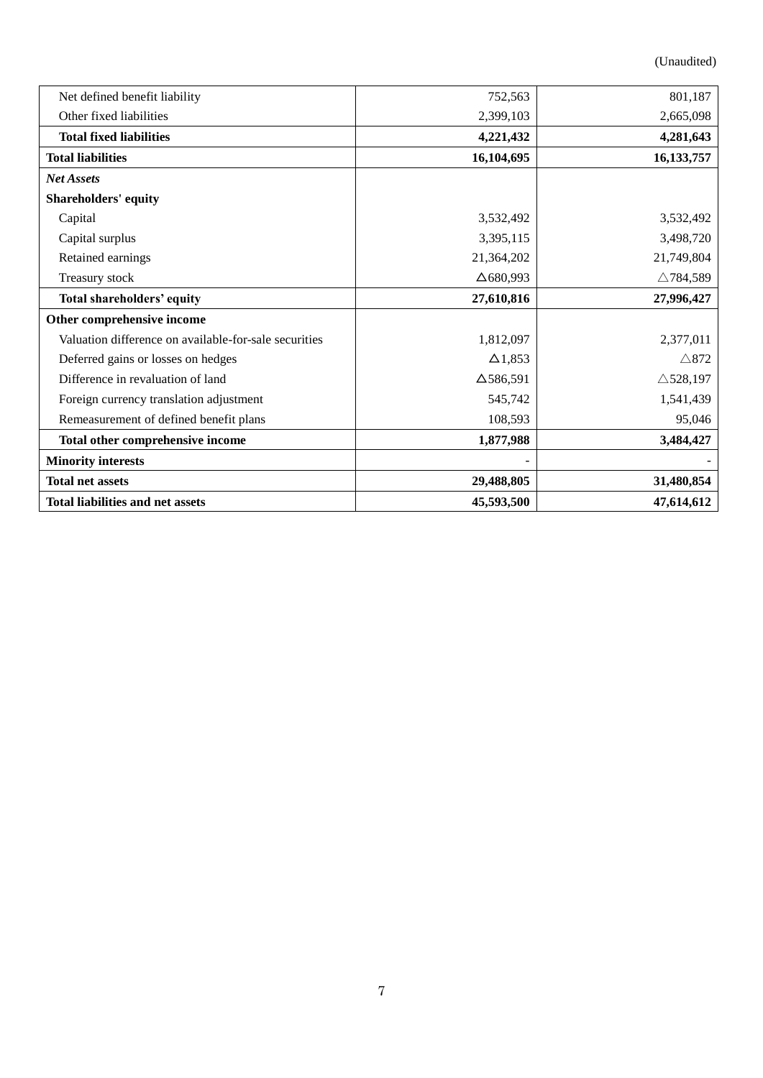(Unaudited)

| Net defined benefit liability                         | 752,563          | 801,187             |
|-------------------------------------------------------|------------------|---------------------|
| Other fixed liabilities                               | 2,399,103        | 2,665,098           |
| <b>Total fixed liabilities</b>                        | 4,221,432        | 4,281,643           |
| <b>Total liabilities</b>                              | 16,104,695       | 16, 133, 757        |
| <b>Net Assets</b>                                     |                  |                     |
| <b>Shareholders' equity</b>                           |                  |                     |
| Capital                                               | 3,532,492        | 3,532,492           |
| Capital surplus                                       | 3,395,115        | 3,498,720           |
| Retained earnings                                     | 21,364,202       | 21,749,804          |
| Treasury stock                                        | $\Delta$ 680,993 | $\triangle$ 784,589 |
| Total shareholders' equity                            | 27,610,816       | 27,996,427          |
| Other comprehensive income                            |                  |                     |
| Valuation difference on available-for-sale securities | 1,812,097        | 2,377,011           |
| Deferred gains or losses on hedges                    | $\Delta$ 1,853   | $\triangle 872$     |
| Difference in revaluation of land                     | $\Delta$ 586,591 | $\triangle$ 528,197 |
| Foreign currency translation adjustment               | 545,742          | 1,541,439           |
| Remeasurement of defined benefit plans                | 108,593          | 95,046              |
| Total other comprehensive income                      | 1,877,988        | 3,484,427           |
| <b>Minority interests</b>                             |                  |                     |
| <b>Total net assets</b>                               | 29,488,805       | 31,480,854          |
| <b>Total liabilities and net assets</b>               | 45,593,500       | 47,614,612          |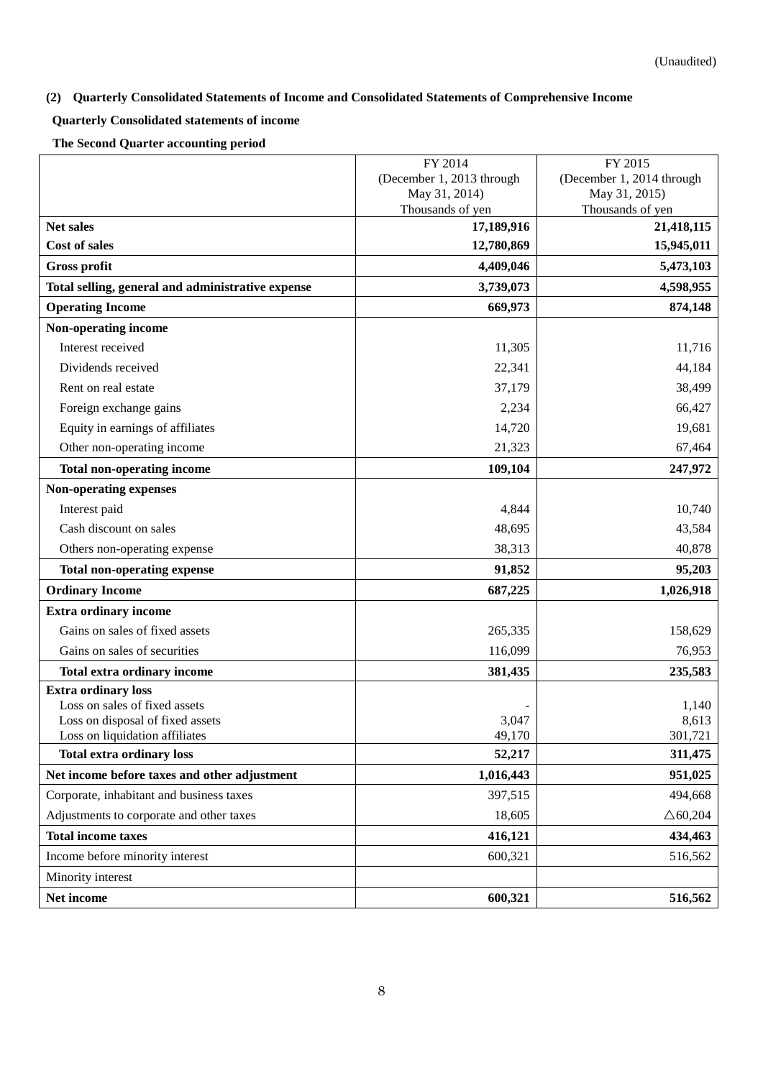## <span id="page-7-0"></span>**(2) Quarterly Consolidated Statements of Income and Consolidated Statements of Comprehensive Income**

# <span id="page-7-1"></span>**Quarterly Consolidated statements of income**

**The Second Quarter accounting period**

|                                                                    | FY 2014                   | FY 2015                   |
|--------------------------------------------------------------------|---------------------------|---------------------------|
|                                                                    | (December 1, 2013 through | (December 1, 2014 through |
|                                                                    | May 31, 2014)             | May 31, 2015)             |
|                                                                    | Thousands of yen          | Thousands of yen          |
| <b>Net sales</b>                                                   | 17,189,916                | 21,418,115                |
| <b>Cost of sales</b>                                               | 12,780,869                | 15,945,011                |
| <b>Gross profit</b>                                                | 4,409,046                 | 5,473,103                 |
| Total selling, general and administrative expense                  | 3,739,073                 | 4,598,955                 |
| <b>Operating Income</b>                                            | 669,973                   | 874,148                   |
| Non-operating income                                               |                           |                           |
| Interest received                                                  | 11,305                    | 11,716                    |
| Dividends received                                                 | 22,341                    | 44,184                    |
| Rent on real estate                                                | 37,179                    | 38,499                    |
| Foreign exchange gains                                             | 2,234                     | 66,427                    |
| Equity in earnings of affiliates                                   | 14,720                    | 19,681                    |
| Other non-operating income                                         | 21,323                    | 67,464                    |
| <b>Total non-operating income</b>                                  | 109,104                   | 247,972                   |
| Non-operating expenses                                             |                           |                           |
| Interest paid                                                      | 4,844                     | 10,740                    |
| Cash discount on sales                                             | 48,695                    | 43,584                    |
| Others non-operating expense                                       | 38,313                    | 40,878                    |
| <b>Total non-operating expense</b>                                 | 91,852                    | 95,203                    |
| <b>Ordinary Income</b>                                             | 687,225                   | 1,026,918                 |
| <b>Extra ordinary income</b>                                       |                           |                           |
| Gains on sales of fixed assets                                     | 265,335                   | 158,629                   |
| Gains on sales of securities                                       | 116,099                   | 76,953                    |
| <b>Total extra ordinary income</b>                                 | 381,435                   | 235,583                   |
| <b>Extra ordinary loss</b>                                         |                           |                           |
| Loss on sales of fixed assets                                      |                           | 1,140                     |
| Loss on disposal of fixed assets<br>Loss on liquidation affiliates | 3,047<br>49,170           | 8,613<br>301,721          |
|                                                                    |                           |                           |
| <b>Total extra ordinary loss</b>                                   | 52,217                    | 311,475                   |
| Net income before taxes and other adjustment                       | 1,016,443                 | 951,025                   |
| Corporate, inhabitant and business taxes                           | 397,515                   | 494,668                   |
| Adjustments to corporate and other taxes                           | 18,605                    | $\triangle 60,204$        |
| <b>Total income taxes</b>                                          | 416,121                   | 434,463                   |
| Income before minority interest                                    | 600,321                   | 516,562                   |
| Minority interest                                                  |                           |                           |
| Net income                                                         | 600,321                   | 516,562                   |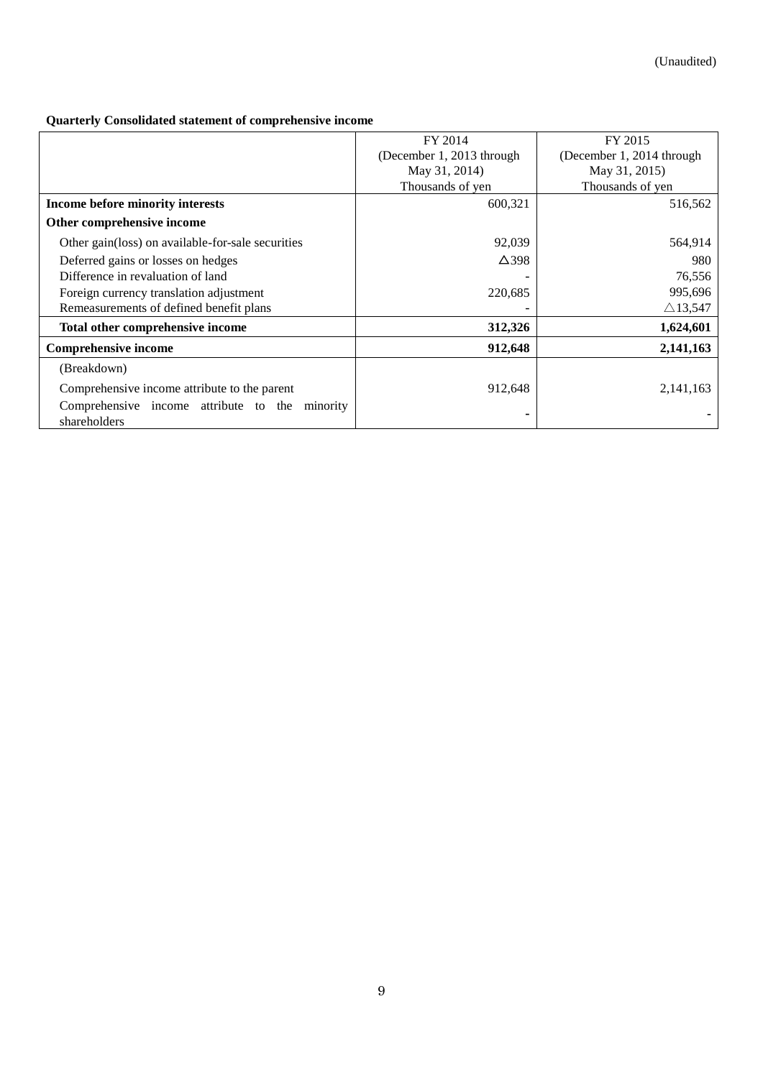# <span id="page-8-0"></span>**Quarterly Consolidated statement of comprehensive income**

|                                                    | FY 2014                                                | FY 2015            |
|----------------------------------------------------|--------------------------------------------------------|--------------------|
|                                                    | (December 1, 2013 through<br>(December 1, 2014 through |                    |
|                                                    | May 31, 2014)                                          | May 31, 2015)      |
|                                                    | Thousands of yen                                       | Thousands of yen   |
| Income before minority interests                   | 600,321                                                | 516,562            |
| Other comprehensive income                         |                                                        |                    |
| Other gain (loss) on available-for-sale securities | 92,039                                                 | 564,914            |
| Deferred gains or losses on hedges                 | $\Delta$ 398                                           | 980                |
| Difference in revaluation of land                  |                                                        | 76,556             |
| Foreign currency translation adjustment            | 220,685                                                | 995,696            |
| Remeasurements of defined benefit plans            |                                                        | $\triangle$ 13,547 |
| Total other comprehensive income                   | 312,326                                                | 1,624,601          |
| <b>Comprehensive income</b>                        | 912,648                                                | 2,141,163          |
| (Breakdown)                                        |                                                        |                    |
| Comprehensive income attribute to the parent       | 912,648                                                | 2,141,163          |
| Comprehensive income attribute to the<br>minority  |                                                        |                    |
| shareholders                                       |                                                        |                    |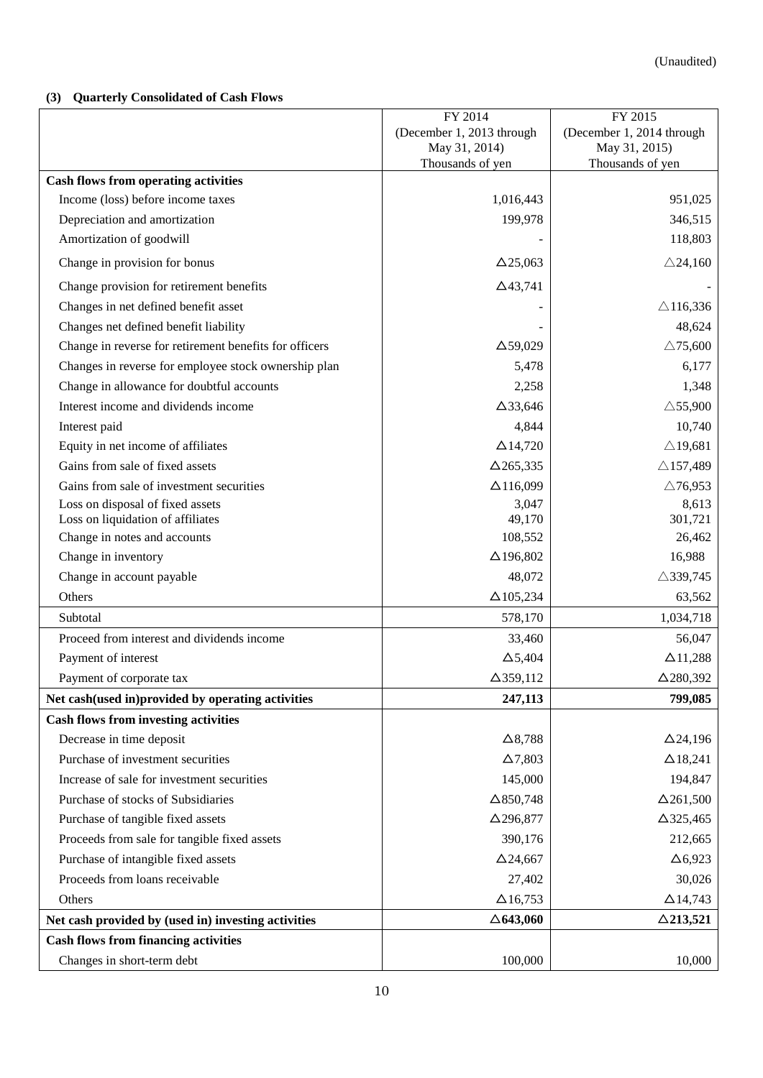### <span id="page-9-0"></span>**(3) Quarterly Consolidated of Cash Flows**

|                                                        | FY 2014                                                | FY 2015                           |
|--------------------------------------------------------|--------------------------------------------------------|-----------------------------------|
|                                                        | (December 1, 2013 through<br>(December 1, 2014 through |                                   |
|                                                        | May 31, 2014)<br>Thousands of yen                      | May 31, 2015)<br>Thousands of yen |
| <b>Cash flows from operating activities</b>            |                                                        |                                   |
| Income (loss) before income taxes                      | 1,016,443                                              | 951,025                           |
| Depreciation and amortization                          | 199,978                                                | 346,515                           |
| Amortization of goodwill                               |                                                        | 118,803                           |
| Change in provision for bonus                          | $\Delta$ 25,063                                        | $\triangle$ 24,160                |
| Change provision for retirement benefits               | $\Delta$ 43,741                                        |                                   |
| Changes in net defined benefit asset                   |                                                        | $\triangle$ 116,336               |
| Changes net defined benefit liability                  |                                                        | 48,624                            |
| Change in reverse for retirement benefits for officers | $\Delta$ 59,029                                        | $\triangle$ 75,600                |
| Changes in reverse for employee stock ownership plan   | 5,478                                                  | 6,177                             |
| Change in allowance for doubtful accounts              | 2,258                                                  | 1,348                             |
| Interest income and dividends income                   | $\Delta$ 33,646                                        | $\triangle$ 55,900                |
| Interest paid                                          | 4,844                                                  | 10,740                            |
| Equity in net income of affiliates                     | $\Delta$ 14,720                                        | $\triangle$ 19,681                |
| Gains from sale of fixed assets                        | $\Delta$ 265,335                                       | $\triangle$ 157,489               |
| Gains from sale of investment securities               | $\Delta$ 116,099                                       | $\triangle$ 76,953                |
| Loss on disposal of fixed assets                       | 3,047                                                  | 8,613                             |
| Loss on liquidation of affiliates                      | 49,170                                                 | 301,721                           |
| Change in notes and accounts                           | 108,552                                                | 26,462                            |
| Change in inventory                                    | $\Delta$ 196,802                                       | 16,988                            |
| Change in account payable                              | 48,072                                                 | $\triangle$ 339,745               |
| Others                                                 | $\Delta$ 105,234                                       | 63,562                            |
| Subtotal                                               | 578,170                                                | 1,034,718                         |
| Proceed from interest and dividends income             | 33,460                                                 | 56,047                            |
| Payment of interest                                    | $\Delta$ 5,404                                         | $\Delta$ 11,288                   |
| Payment of corporate tax                               | $\Delta$ 359,112                                       | $\Delta$ 280,392                  |
| Net cash(used in)provided by operating activities      | 247,113                                                | 799,085                           |
| <b>Cash flows from investing activities</b>            |                                                        |                                   |
| Decrease in time deposit                               | $\Delta$ 8,788                                         | $\Delta$ 24,196                   |
| Purchase of investment securities                      | $\Delta$ 7,803                                         | $\Delta$ 18,241                   |
| Increase of sale for investment securities             | 145,000                                                | 194,847                           |
| Purchase of stocks of Subsidiaries                     | $\Delta$ 850,748                                       | $\Delta$ 261,500                  |
| Purchase of tangible fixed assets                      | $\Delta$ 296,877                                       | $\Delta$ 325,465                  |
| Proceeds from sale for tangible fixed assets           | 390,176                                                | 212,665                           |
| Purchase of intangible fixed assets                    | $\Delta$ 24,667                                        | $\Delta$ 6,923                    |
| Proceeds from loans receivable                         | 27,402                                                 | 30,026                            |
| Others                                                 | $\Delta$ 16,753                                        | $\Delta$ 14,743                   |
| Net cash provided by (used in) investing activities    | $\triangle$ 643,060                                    | $\triangle$ 213,521               |
| <b>Cash flows from financing activities</b>            |                                                        |                                   |
| Changes in short-term debt                             | 100,000                                                | 10,000                            |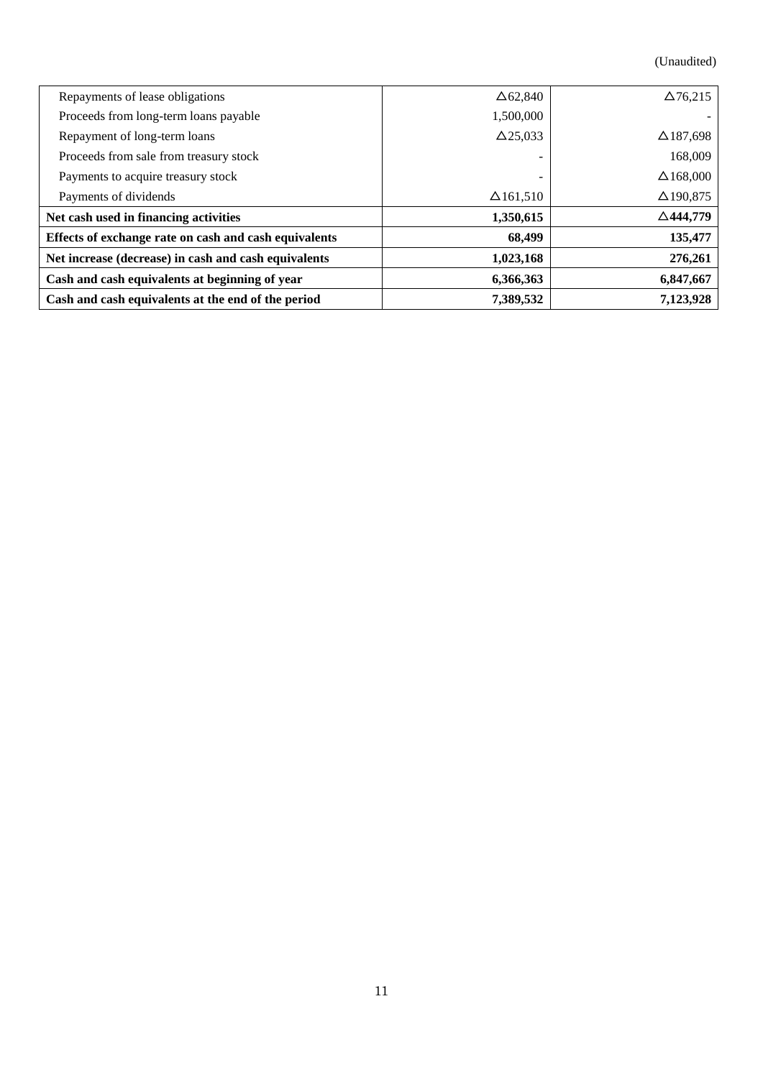(Unaudited)

| Repayments of lease obligations                       | $\Delta 62,840$  | $\Delta$ 76,215     |
|-------------------------------------------------------|------------------|---------------------|
| Proceeds from long-term loans payable                 | 1,500,000        |                     |
| Repayment of long-term loans                          | $\Delta$ 25,033  | $\Delta$ 187,698    |
| Proceeds from sale from treasury stock                |                  | 168,009             |
| Payments to acquire treasury stock                    |                  | $\Delta$ 168,000    |
| Payments of dividends                                 | $\Delta$ 161,510 | $\Delta$ 190,875    |
| Net cash used in financing activities                 | 1,350,615        | $\triangle$ 444,779 |
| Effects of exchange rate on cash and cash equivalents | 68,499           | 135,477             |
| Net increase (decrease) in cash and cash equivalents  | 1,023,168        | 276,261             |
| Cash and cash equivalents at beginning of year        | 6,366,363        | 6,847,667           |
| Cash and cash equivalents at the end of the period    | 7,389,532        | 7,123,928           |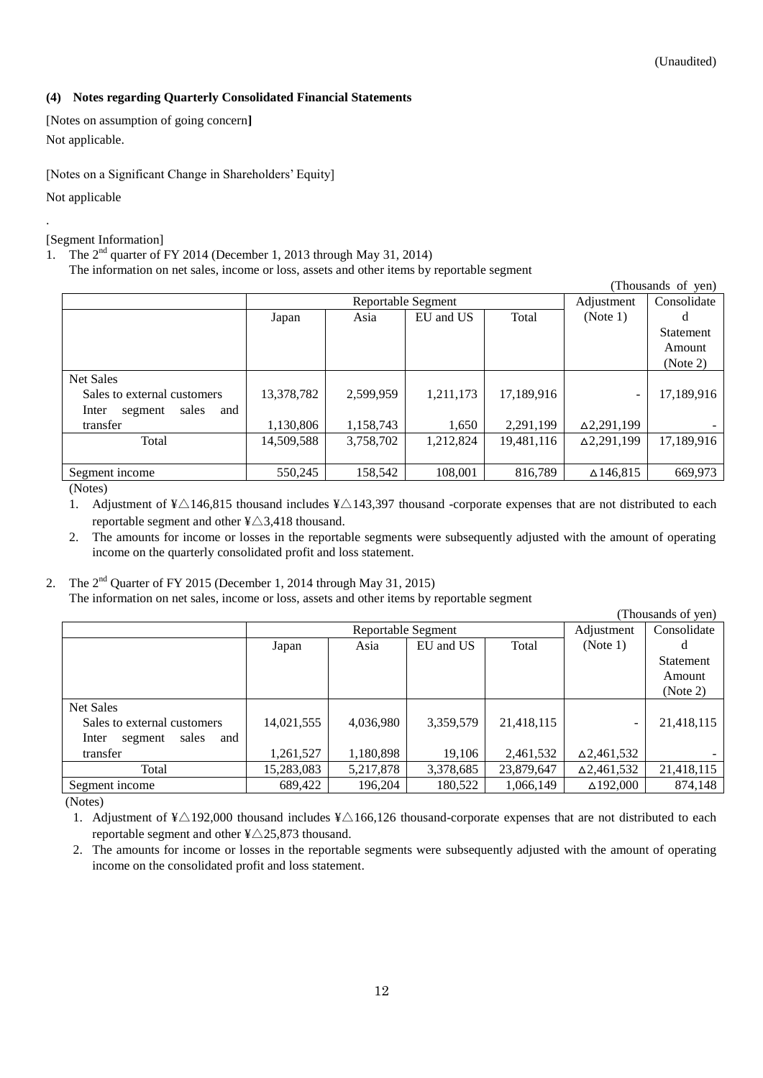### <span id="page-11-0"></span>**(4) Notes regarding Quarterly Consolidated Financial Statements**

<span id="page-11-1"></span>[Notes on assumption of going concern**]** Not applicable.

<span id="page-11-2"></span>[Notes on a Significant Change in Shareholders' Equity]

Not applicable

.

<span id="page-11-3"></span>[Segment Information]

1. The 2<sup>nd</sup> quarter of FY 2014 (December 1, 2013 through May 31, 2014)

The information on net sales, income or loss, assets and other items by reportable segment

|                                  |                    |           |           |            |                      | (Thousands of yen) |
|----------------------------------|--------------------|-----------|-----------|------------|----------------------|--------------------|
|                                  | Reportable Segment |           |           |            | Adjustment           | Consolidate        |
|                                  | Japan              | Asia      | EU and US | Total      | (Note 1)             | d                  |
|                                  |                    |           |           |            |                      | <b>Statement</b>   |
|                                  |                    |           |           |            |                      | Amount             |
|                                  |                    |           |           |            |                      | (Note 2)           |
| <b>Net Sales</b>                 |                    |           |           |            |                      |                    |
| Sales to external customers      | 13,378,782         | 2,599,959 | 1,211,173 | 17,189,916 | -                    | 17,189,916         |
| sales<br>and<br>Inter<br>segment |                    |           |           |            |                      |                    |
| transfer                         | 1,130,806          | 1,158,743 | 1,650     | 2,291,199  | $\Delta 2, 291, 199$ |                    |
| Total                            | 14,509,588         | 3,758,702 | 1,212,824 | 19,481,116 | $\Delta 2, 291, 199$ | 17,189,916         |
|                                  |                    |           |           |            |                      |                    |
| Segment income                   | 550,245            | 158,542   | 108,001   | 816,789    | $\Delta$ 146,815     | 669,973            |

(Notes)

1. Adjustment of  $\frac{1}{2}$  146,815 thousand includes  $\frac{1}{2}$  143,397 thousand -corporate expenses that are not distributed to each reportable segment and other  $\frac{4}{3}$ ,418 thousand.

2. The amounts for income or losses in the reportable segments were subsequently adjusted with the amount of operating income on the quarterly consolidated profit and loss statement.

# 2. The  $2<sup>nd</sup>$  Quarter of FY 2015 (December 1, 2014 through May 31, 2015)

The information on net sales, income or loss, assets and other items by reportable segment

|                                  |            |                    |           |            | (Thousands of yen)       |             |
|----------------------------------|------------|--------------------|-----------|------------|--------------------------|-------------|
|                                  |            | Reportable Segment |           |            |                          | Consolidate |
|                                  | Japan      | Asia               | EU and US | Total      | (Note 1)                 |             |
|                                  |            |                    |           |            |                          | Statement   |
|                                  |            |                    |           |            |                          | Amount      |
|                                  |            |                    |           |            |                          | (Note 2)    |
| Net Sales                        |            |                    |           |            |                          |             |
| Sales to external customers      | 14,021,555 | 4,036,980          | 3,359,579 | 21,418,115 | $\overline{\phantom{0}}$ | 21,418,115  |
| sales<br>and<br>Inter<br>segment |            |                    |           |            |                          |             |
| transfer                         | 1,261,527  | 1,180,898          | 19,106    | 2,461,532  | $\Delta$ 2,461,532       |             |
| Total                            | 15,283,083 | 5,217,878          | 3,378,685 | 23,879,647 | $\Delta$ 2,461,532       | 21,418,115  |
| Segment income                   | 689,422    | 196,204            | 180,522   | 1,066,149  | $\Delta$ 192,000         | 874,148     |

(Notes)

1. Adjustment of ¥ $\triangle$ 192,000 thousand includes ¥ $\triangle$ 166,126 thousand-corporate expenses that are not distributed to each reportable segment and other  $\frac{4}{25,873}$  thousand.

2. The amounts for income or losses in the reportable segments were subsequently adjusted with the amount of operating income on the consolidated profit and loss statement.